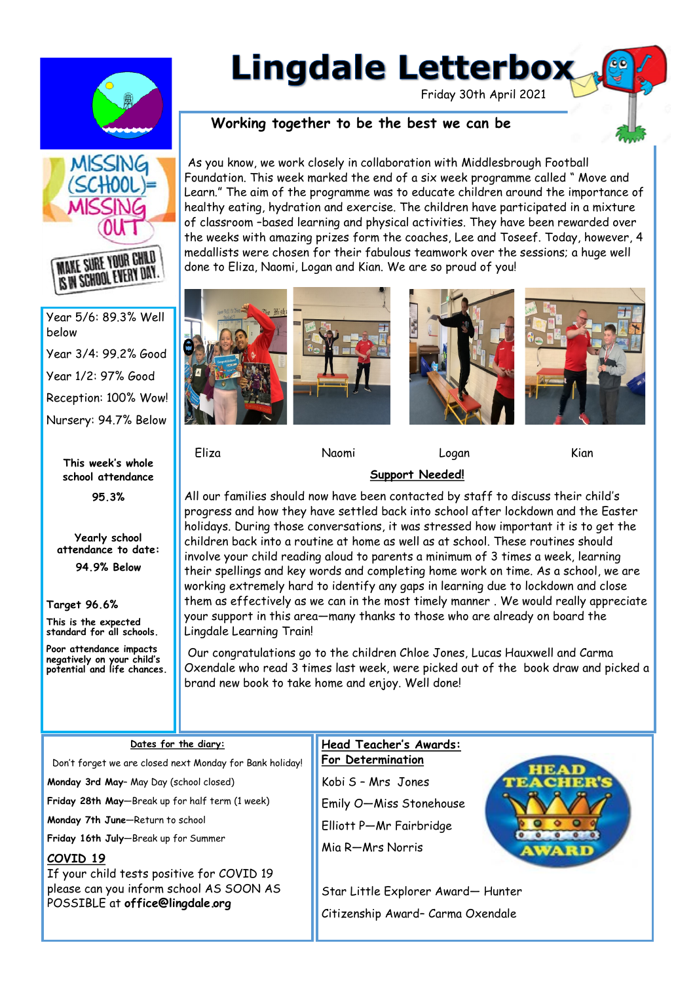

# **Lingdale Letterbox**

Friday 30th April 2021

# **Working together to be the best we can be**



IS IN SCHOOL EVERY DAY. Year 5/6: 89.3% Well

below Year 3/4: 99.2% Good Year 1/2: 97% Good Reception: 100% Wow! Nursery: 94.7% Below

> **This week's whole school attendance**

> > **95.3%**

**Yearly school attendance to date:** 

**94.9% Below** 

**Target 96.6%**

**This is the expected standard for all schools.**

**Poor attendance impacts negatively on your child's potential and life chances.** 











Eliza Naomi Logan Kian

## **Support Needed!**

All our families should now have been contacted by staff to discuss their child's progress and how they have settled back into school after lockdown and the Easter holidays. During those conversations, it was stressed how important it is to get the children back into a routine at home as well as at school. These routines should involve your child reading aloud to parents a minimum of 3 times a week, learning their spellings and key words and completing home work on time. As a school, we are working extremely hard to identify any gaps in learning due to lockdown and close them as effectively as we can in the most timely manner . We would really appreciate your support in this area—many thanks to those who are already on board the Lingdale Learning Train!

Our congratulations go to the children Chloe Jones, Lucas Hauxwell and Carma Oxendale who read 3 times last week, were picked out of the book draw and picked a brand new book to take home and enjoy. Well done!

#### **Dates for the diary:**

Don't forget we are closed next Monday for Bank holiday!

**Monday 3rd May**– May Day (school closed)

**Friday 28th May**—Break up for half term (1 week)

**Monday 7th June**—Return to school

**Friday 16th July**—Break up for Summer

## **COVID 19**

If your child tests positive for COVID 19 please can you inform school AS SOON AS POSSIBLE at **office@lingdale.org** 

**Head Teacher's Awards: For Determination**

Kobi S – Mrs Jones Emily O—Miss Stonehouse Elliott P—Mr Fairbridge

Mia R—Mrs Norris

Star Little Explorer Award— Hunter Citizenship Award– Carma Oxendale